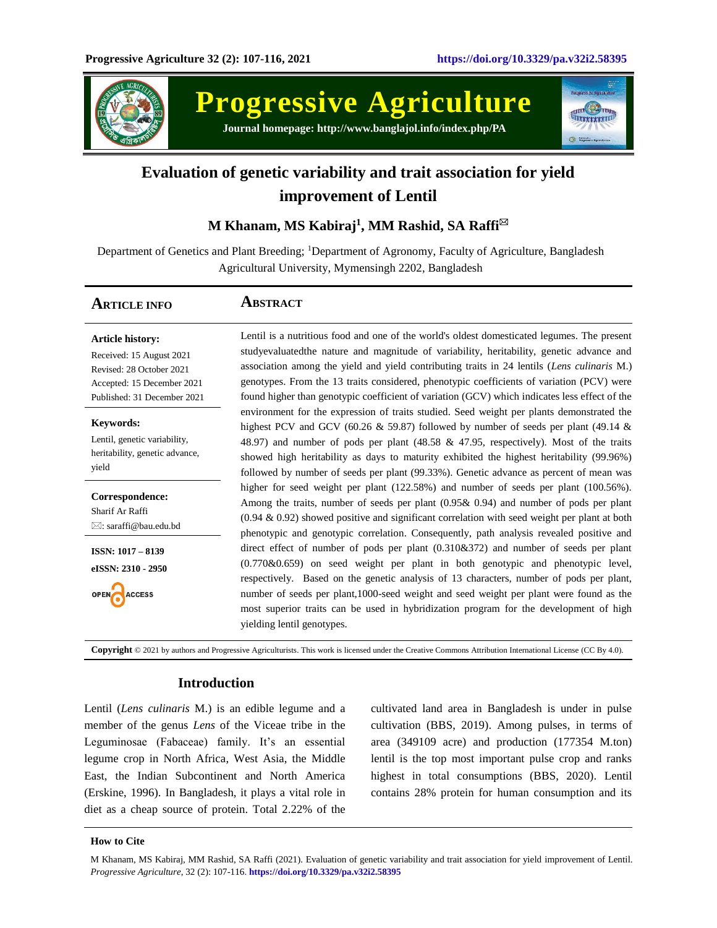

# **Progressive Agriculture Journal homepage: http://www.banglajol.info/index.php/PA**



# **Evaluation of genetic variability and trait association for yield improvement of Lentil**

# **M Khanam, MS Kabiraj<sup>1</sup> , MM Rashid, SA Raffi**

Department of Genetics and Plant Breeding; <sup>1</sup>Department of Agronomy, Faculty of Agriculture, Bangladesh Agricultural University, Mymensingh 2202, Bangladesh

## **ARTICLE INFO ABSTRACT**

**Article history:** Received: 15 August 2021 Revised: 28 October 2021 Accepted: 15 December 2021 Published: 31 December 2021

**Keywords:** Lentil, genetic variability, heritability, genetic advance, yield

**Correspondence:** Sharif Ar Raffi : saraffi@bau.edu.bd

**ISSN: 1017 – 8139 eISSN: 2310 - 2950**

OPEN **ACCESS**  Lentil is a nutritious food and one of the world's oldest domesticated legumes. The present studyevaluatedthe nature and magnitude of variability, heritability, genetic advance and association among the yield and yield contributing traits in 24 lentils (*Lens culinaris* M.) genotypes. From the 13 traits considered, phenotypic coefficients of variation (PCV) were found higher than genotypic coefficient of variation (GCV) which indicates less effect of the environment for the expression of traits studied. Seed weight per plants demonstrated the highest PCV and GCV (60.26  $\&$  59.87) followed by number of seeds per plant (49.14  $\&$ 48.97) and number of pods per plant (48.58 & 47.95, respectively). Most of the traits showed high heritability as days to maturity exhibited the highest heritability (99.96%) followed by number of seeds per plant (99.33%). Genetic advance as percent of mean was higher for seed weight per plant (122.58%) and number of seeds per plant (100.56%). Among the traits, number of seeds per plant (0.95& 0.94) and number of pods per plant (0.94 & 0.92) showed positive and significant correlation with seed weight per plant at both phenotypic and genotypic correlation. Consequently, path analysis revealed positive and direct effect of number of pods per plant (0.310&372) and number of seeds per plant (0.770&0.659) on seed weight per plant in both genotypic and phenotypic level, respectively. Based on the genetic analysis of 13 characters, number of pods per plant, number of seeds per plant,1000-seed weight and seed weight per plant were found as the most superior traits can be used in hybridization program for the development of high yielding lentil genotypes.

**Copyright** © 2021 by authors and Progressive Agriculturists. This work is licensed under the Creative Commons Attribution International License (CC By 4.0).

### **Introduction**

Lentil (*Lens culinaris* M.) is an edible legume and a member of the genus *Lens* of the Viceae tribe in the Leguminosae (Fabaceae) family. It's an essential legume crop in North Africa, West Asia, the Middle East, the Indian Subcontinent and North America (Erskine, 1996). In Bangladesh, it plays a vital role in diet as a cheap source of protein. Total 2.22% of the

cultivated land area in Bangladesh is under in pulse cultivation (BBS, 2019). Among pulses, in terms of area (349109 acre) and production (177354 M.ton) lentil is the top most important pulse crop and ranks highest in total consumptions (BBS, 2020). Lentil contains 28% protein for human consumption and its

#### **How to Cite**

M Khanam, MS Kabiraj, MM Rashid, SA Raffi (2021). Evaluation of genetic variability and trait association for yield improvement of Lentil. *Progressive Agriculture*, 32 (2): 107-116. **https://doi.org/10.3329/pa.v32i2.58395**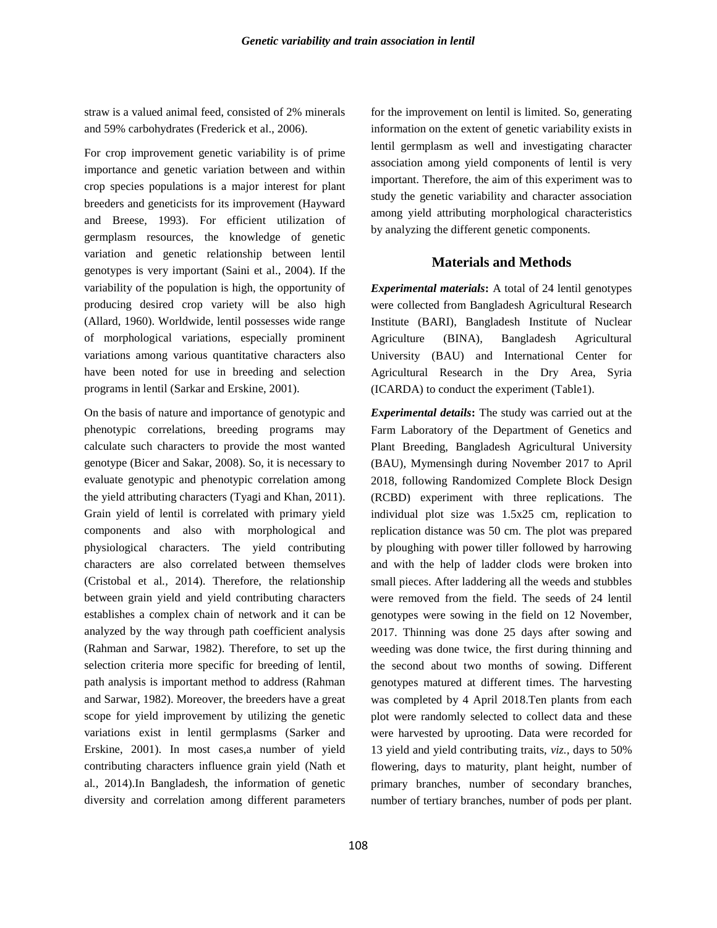straw is a valued animal feed, consisted of 2% minerals and 59% carbohydrates (Frederick et al., 2006).

For crop improvement genetic variability is of prime importance and genetic variation between and within crop species populations is a major interest for plant breeders and geneticists for its improvement (Hayward and Breese, 1993). For efficient utilization of germplasm resources, the knowledge of genetic variation and genetic relationship between lentil genotypes is very important (Saini et al., 2004). If the variability of the population is high, the opportunity of producing desired crop variety will be also high (Allard, 1960). Worldwide, lentil possesses wide range of morphological variations, especially prominent variations among various quantitative characters also have been noted for use in breeding and selection programs in lentil (Sarkar and Erskine, 2001).

On the basis of nature and importance of genotypic and phenotypic correlations, breeding programs may calculate such characters to provide the most wanted genotype (Bicer and Sakar, 2008). So, it is necessary to evaluate genotypic and phenotypic correlation among the yield attributing characters (Tyagi and Khan, 2011). Grain yield of lentil is correlated with primary yield components and also with morphological and physiological characters. The yield contributing characters are also correlated between themselves (Cristobal et al*.,* 2014). Therefore, the relationship between grain yield and yield contributing characters establishes a complex chain of network and it can be analyzed by the way through path coefficient analysis (Rahman and Sarwar, 1982). Therefore, to set up the selection criteria more specific for breeding of lentil, path analysis is important method to address (Rahman and Sarwar, 1982). Moreover, the breeders have a great scope for yield improvement by utilizing the genetic variations exist in lentil germplasms (Sarker and Erskine, 2001). In most cases,a number of yield contributing characters influence grain yield (Nath et al*.,* 2014).In Bangladesh, the information of genetic diversity and correlation among different parameters for the improvement on lentil is limited. So, generating information on the extent of genetic variability exists in lentil germplasm as well and investigating character association among yield components of lentil is very important. Therefore, the aim of this experiment was to study the genetic variability and character association among yield attributing morphological characteristics by analyzing the different genetic components.

### **Materials and Methods**

*Experimental materials***:** A total of 24 lentil genotypes were collected from Bangladesh Agricultural Research Institute (BARI), Bangladesh Institute of Nuclear Agriculture (BINA), Bangladesh Agricultural University (BAU) and International Center for Agricultural Research in the Dry Area, Syria (ICARDA) to conduct the experiment (Table1).

*Experimental details***:** The study was carried out at the Farm Laboratory of the Department of Genetics and Plant Breeding, Bangladesh Agricultural University (BAU), Mymensingh during November 2017 to April 2018, following Randomized Complete Block Design (RCBD) experiment with three replications. The individual plot size was 1.5x25 cm, replication to replication distance was 50 cm. The plot was prepared by ploughing with power tiller followed by harrowing and with the help of ladder clods were broken into small pieces. After laddering all the weeds and stubbles were removed from the field. The seeds of 24 lentil genotypes were sowing in the field on 12 November, 2017. Thinning was done 25 days after sowing and weeding was done twice, the first during thinning and the second about two months of sowing. Different genotypes matured at different times. The harvesting was completed by 4 April 2018.Ten plants from each plot were randomly selected to collect data and these were harvested by uprooting. Data were recorded for 13 yield and yield contributing traits, *viz.,* days to 50% flowering, days to maturity, plant height, number of primary branches, number of secondary branches, number of tertiary branches, number of pods per plant.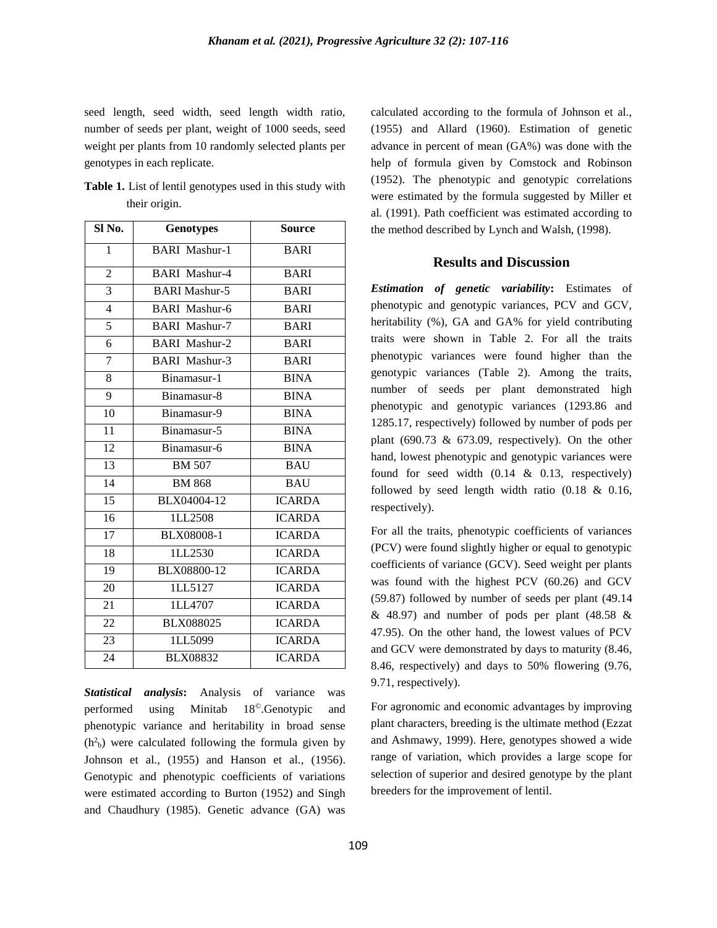seed length, seed width, seed length width ratio, number of seeds per plant, weight of 1000 seeds, seed weight per plants from 10 randomly selected plants per genotypes in each replicate.

| <b>Table 1.</b> List of lentil genotypes used in this study with |  |
|------------------------------------------------------------------|--|
| their origin.                                                    |  |

| Sl No.          | <b>Genotypes</b>     | <b>Source</b> |
|-----------------|----------------------|---------------|
| $\mathbf{1}$    | <b>BARI</b> Mashur-1 | <b>BARI</b>   |
| $\overline{2}$  | <b>BARI Mashur-4</b> | <b>BARI</b>   |
| 3               | <b>BARI Mashur-5</b> | <b>BARI</b>   |
| $\overline{4}$  | <b>BARI Mashur-6</b> | <b>BARI</b>   |
| $\overline{5}$  | <b>BARI Mashur-7</b> | <b>BARI</b>   |
| $\overline{6}$  | <b>BARI</b> Mashur-2 | <b>BARI</b>   |
| $\overline{7}$  | <b>BARI Mashur-3</b> | <b>BARI</b>   |
| 8               | Binamasur-1          | <b>BINA</b>   |
| $\overline{9}$  | Binamasur-8          | <b>BINA</b>   |
| 10              | Binamasur-9          | <b>BINA</b>   |
| $\overline{11}$ | Binamasur-5          | <b>BINA</b>   |
| 12              | Binamasur-6          | <b>BINA</b>   |
| 13              | <b>BM 507</b>        | <b>BAU</b>    |
| 14              | <b>BM 868</b>        | <b>BAU</b>    |
| $\overline{15}$ | BLX04004-12          | <b>ICARDA</b> |
| 16              | 1LL2508              | <b>ICARDA</b> |
| 17              | BLX08008-1           | <b>ICARDA</b> |
| 18              | 1LL2530              | <b>ICARDA</b> |
| 19              | BLX08800-12          | <b>ICARDA</b> |
| 20              | 1LL5127              | <b>ICARDA</b> |
| 21              | 1LL4707              | <b>ICARDA</b> |
| 22              | <b>BLX088025</b>     | <b>ICARDA</b> |
| 23              | ILL5099              | <b>ICARDA</b> |
| 24              | <b>BLX08832</b>      | <b>ICARDA</b> |

*Statistical analysis***:** Analysis of variance was performed using Minitab 18©.Genotypic and phenotypic variance and heritability in broad sense  $(h<sup>2</sup><sub>b</sub>)$  were calculated following the formula given by Johnson et al., (1955) and Hanson et al*.,* (1956). Genotypic and phenotypic coefficients of variations were estimated according to Burton (1952) and Singh and Chaudhury (1985). Genetic advance (GA) was

calculated according to the formula of Johnson et al., (1955) and Allard (1960). Estimation of genetic advance in percent of mean (GA%) was done with the help of formula given by Comstock and Robinson (1952). The phenotypic and genotypic correlations were estimated by the formula suggested by Miller et al*.* (1991). Path coefficient was estimated according to the method described by Lynch and Walsh, (1998).

### **Results and Discussion**

*Estimation of genetic variability***:** Estimates of phenotypic and genotypic variances, PCV and GCV, heritability (%), GA and GA% for yield contributing traits were shown in Table 2. For all the traits phenotypic variances were found higher than the genotypic variances (Table 2). Among the traits, number of seeds per plant demonstrated high phenotypic and genotypic variances (1293.86 and 1285.17, respectively) followed by number of pods per plant (690.73  $\&$  673.09, respectively). On the other hand, lowest phenotypic and genotypic variances were found for seed width  $(0.14 \& 0.13, respectively)$ followed by seed length width ratio (0.18 & 0.16, respectively).

For all the traits, phenotypic coefficients of variances (PCV) were found slightly higher or equal to genotypic coefficients of variance (GCV). Seed weight per plants was found with the highest PCV (60.26) and GCV (59.87) followed by number of seeds per plant (49.14  $\&$  48.97) and number of pods per plant (48.58  $\&$ 47.95). On the other hand, the lowest values of PCV and GCV were demonstrated by days to maturity (8.46, 8.46, respectively) and days to 50% flowering (9.76, 9.71, respectively).

For agronomic and economic advantages by improving plant characters, breeding is the ultimate method (Ezzat and Ashmawy, 1999). Here, genotypes showed a wide range of variation, which provides a large scope for selection of superior and desired genotype by the plant breeders for the improvement of lentil.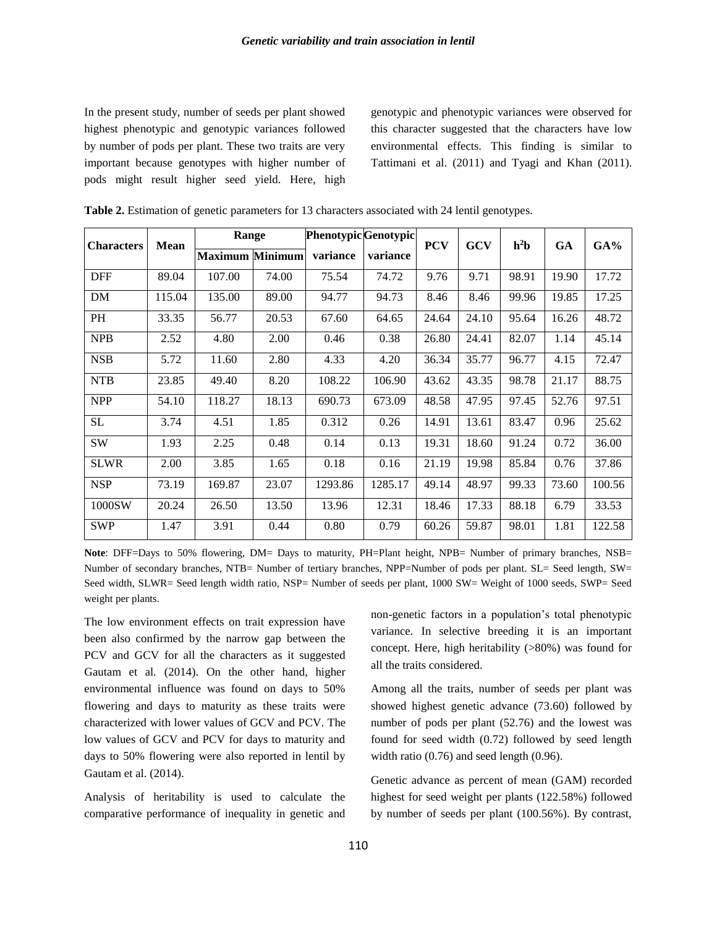In the present study, number of seeds per plant showed highest phenotypic and genotypic variances followed by number of pods per plant. These two traits are very important because genotypes with higher number of pods might result higher seed yield. Here, high

genotypic and phenotypic variances were observed for this character suggested that the characters have low environmental effects. This finding is similar to Tattimani et al. (2011) and Tyagi and Khan (2011).

| <b>Characters</b> | <b>Mean</b> | Range                  |       | <b>Phenotypic</b> Genotypic |          | <b>PCV</b> | <b>GCV</b> | $h^2b$ | <b>GA</b> | $GA\%$ |
|-------------------|-------------|------------------------|-------|-----------------------------|----------|------------|------------|--------|-----------|--------|
|                   |             | <b>Maximum Minimum</b> |       | variance                    | variance |            |            |        |           |        |
| <b>DFF</b>        | 89.04       | 107.00                 | 74.00 | 75.54                       | 74.72    | 9.76       | 9.71       | 98.91  | 19.90     | 17.72  |
| DM                | 115.04      | 135.00                 | 89.00 | 94.77                       | 94.73    | 8.46       | 8.46       | 99.96  | 19.85     | 17.25  |
| PH                | 33.35       | 56.77                  | 20.53 | 67.60                       | 64.65    | 24.64      | 24.10      | 95.64  | 16.26     | 48.72  |
| <b>NPB</b>        | 2.52        | 4.80                   | 2.00  | 0.46                        | 0.38     | 26.80      | 24.41      | 82.07  | 1.14      | 45.14  |
| <b>NSB</b>        | 5.72        | 11.60                  | 2.80  | 4.33                        | 4.20     | 36.34      | 35.77      | 96.77  | 4.15      | 72.47  |
| <b>NTB</b>        | 23.85       | 49.40                  | 8.20  | 108.22                      | 106.90   | 43.62      | 43.35      | 98.78  | 21.17     | 88.75  |
| <b>NPP</b>        | 54.10       | 118.27                 | 18.13 | 690.73                      | 673.09   | 48.58      | 47.95      | 97.45  | 52.76     | 97.51  |
| SL                | 3.74        | 4.51                   | 1.85  | 0.312                       | 0.26     | 14.91      | 13.61      | 83.47  | 0.96      | 25.62  |
| <b>SW</b>         | 1.93        | 2.25                   | 0.48  | 0.14                        | 0.13     | 19.31      | 18.60      | 91.24  | 0.72      | 36.00  |
| <b>SLWR</b>       | 2.00        | 3.85                   | 1.65  | 0.18                        | 0.16     | 21.19      | 19.98      | 85.84  | 0.76      | 37.86  |
| <b>NSP</b>        | 73.19       | 169.87                 | 23.07 | 1293.86                     | 1285.17  | 49.14      | 48.97      | 99.33  | 73.60     | 100.56 |
| 1000SW            | 20.24       | 26.50                  | 13.50 | 13.96                       | 12.31    | 18.46      | 17.33      | 88.18  | 6.79      | 33.53  |
| <b>SWP</b>        | 1.47        | 3.91                   | 0.44  | 0.80                        | 0.79     | 60.26      | 59.87      | 98.01  | 1.81      | 122.58 |

**Table 2.** Estimation of genetic parameters for 13 characters associated with 24 lentil genotypes.

**Note**: DFF=Days to 50% flowering, DM= Days to maturity, PH=Plant height, NPB= Number of primary branches, NSB= Number of secondary branches, NTB= Number of tertiary branches, NPP=Number of pods per plant. SL= Seed length, SW= Seed width, SLWR= Seed length width ratio, NSP= Number of seeds per plant, 1000 SW= Weight of 1000 seeds, SWP= Seed weight per plants.

The low environment effects on trait expression have been also confirmed by the narrow gap between the PCV and GCV for all the characters as it suggested Gautam et al*.* (2014). On the other hand, higher environmental influence was found on days to 50% flowering and days to maturity as these traits were characterized with lower values of GCV and PCV. The low values of GCV and PCV for days to maturity and days to 50% flowering were also reported in lentil by Gautam et al. (2014).

Analysis of heritability is used to calculate the comparative performance of inequality in genetic and non-genetic factors in a population's total phenotypic variance. In selective breeding it is an important concept. Here, high heritability (>80%) was found for all the traits considered.

Among all the traits, number of seeds per plant was showed highest genetic advance (73.60) followed by number of pods per plant (52.76) and the lowest was found for seed width (0.72) followed by seed length width ratio (0.76) and seed length (0.96).

Genetic advance as percent of mean (GAM) recorded highest for seed weight per plants (122.58%) followed by number of seeds per plant (100.56%). By contrast,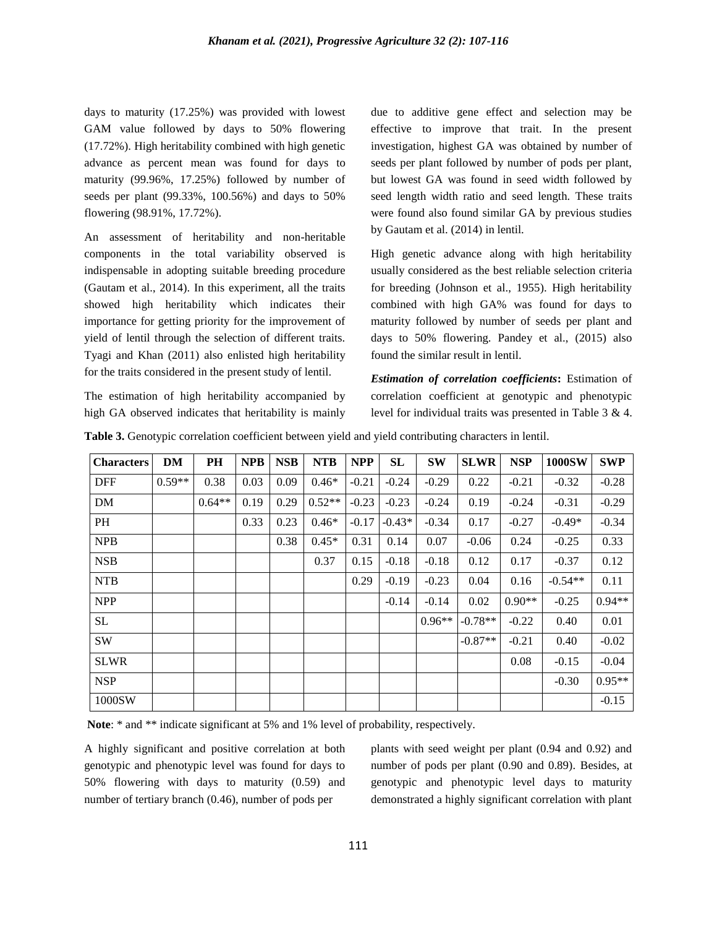days to maturity (17.25%) was provided with lowest GAM value followed by days to 50% flowering (17.72%). High heritability combined with high genetic advance as percent mean was found for days to maturity (99.96%, 17.25%) followed by number of seeds per plant (99.33%, 100.56%) and days to 50% flowering (98.91%, 17.72%).

An assessment of heritability and non-heritable components in the total variability observed is indispensable in adopting suitable breeding procedure (Gautam et al., 2014). In this experiment, all the traits showed high heritability which indicates their importance for getting priority for the improvement of yield of lentil through the selection of different traits. Tyagi and Khan (2011) also enlisted high heritability for the traits considered in the present study of lentil.

The estimation of high heritability accompanied by high GA observed indicates that heritability is mainly due to additive gene effect and selection may be effective to improve that trait. In the present investigation, highest GA was obtained by number of seeds per plant followed by number of pods per plant, but lowest GA was found in seed width followed by seed length width ratio and seed length. These traits were found also found similar GA by previous studies by Gautam et al. (2014) in lentil.

High genetic advance along with high heritability usually considered as the best reliable selection criteria for breeding (Johnson et al., 1955). High heritability combined with high GA% was found for days to maturity followed by number of seeds per plant and days to 50% flowering. Pandey et al., (2015) also found the similar result in lentil.

*Estimation of correlation coefficients***:** Estimation of correlation coefficient at genotypic and phenotypic level for individual traits was presented in Table 3 & 4.

| <b>Characters</b> | <b>DM</b> | PH       | <b>NPB</b> | <b>NSB</b> | <b>NTB</b> | <b>NPP</b> | SL       | <b>SW</b> | <b>SLWR</b> | <b>NSP</b> | <b>1000SW</b> | <b>SWP</b> |
|-------------------|-----------|----------|------------|------------|------------|------------|----------|-----------|-------------|------------|---------------|------------|
| <b>DFF</b>        | $0.59**$  | 0.38     | 0.03       | 0.09       | $0.46*$    | $-0.21$    | $-0.24$  | $-0.29$   | 0.22        | $-0.21$    | $-0.32$       | $-0.28$    |
| DM                |           | $0.64**$ | 0.19       | 0.29       | $0.52**$   | $-0.23$    | $-0.23$  | $-0.24$   | 0.19        | $-0.24$    | $-0.31$       | $-0.29$    |
| PH                |           |          | 0.33       | 0.23       | $0.46*$    | $-0.17$    | $-0.43*$ | $-0.34$   | 0.17        | $-0.27$    | $-0.49*$      | $-0.34$    |
| <b>NPB</b>        |           |          |            | 0.38       | $0.45*$    | 0.31       | 0.14     | 0.07      | $-0.06$     | 0.24       | $-0.25$       | 0.33       |
| <b>NSB</b>        |           |          |            |            | 0.37       | 0.15       | $-0.18$  | $-0.18$   | 0.12        | 0.17       | $-0.37$       | 0.12       |
| <b>NTB</b>        |           |          |            |            |            | 0.29       | $-0.19$  | $-0.23$   | 0.04        | 0.16       | $-0.54**$     | 0.11       |
| <b>NPP</b>        |           |          |            |            |            |            | $-0.14$  | $-0.14$   | 0.02        | $0.90**$   | $-0.25$       | $0.94**$   |
| SL                |           |          |            |            |            |            |          | $0.96**$  | $-0.78**$   | $-0.22$    | 0.40          | 0.01       |
| <b>SW</b>         |           |          |            |            |            |            |          |           | $-0.87**$   | $-0.21$    | 0.40          | $-0.02$    |
| <b>SLWR</b>       |           |          |            |            |            |            |          |           |             | 0.08       | $-0.15$       | $-0.04$    |
| <b>NSP</b>        |           |          |            |            |            |            |          |           |             |            | $-0.30$       | $0.95**$   |
| 1000SW            |           |          |            |            |            |            |          |           |             |            |               | $-0.15$    |

**Table 3.** Genotypic correlation coefficient between yield and yield contributing characters in lentil.

Note: \* and \*\* indicate significant at 5% and 1% level of probability, respectively.

A highly significant and positive correlation at both genotypic and phenotypic level was found for days to 50% flowering with days to maturity (0.59) and number of tertiary branch (0.46), number of pods per

plants with seed weight per plant (0.94 and 0.92) and number of pods per plant (0.90 and 0.89). Besides, at genotypic and phenotypic level days to maturity demonstrated a highly significant correlation with plant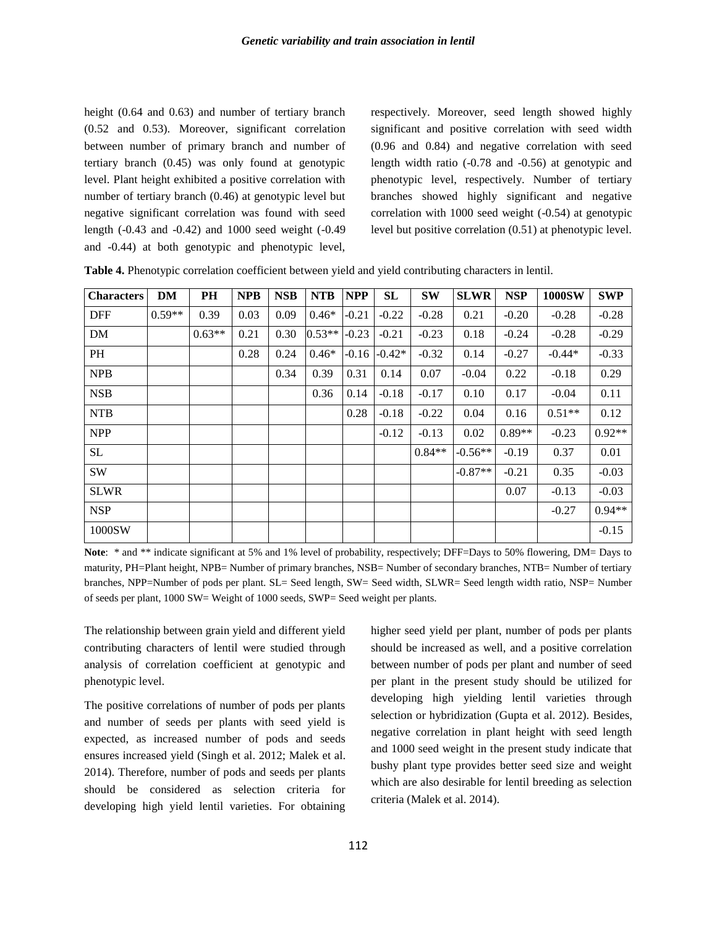height (0.64 and 0.63) and number of tertiary branch (0.52 and 0.53). Moreover, significant correlation between number of primary branch and number of tertiary branch (0.45) was only found at genotypic level. Plant height exhibited a positive correlation with number of tertiary branch (0.46) at genotypic level but negative significant correlation was found with seed length (-0.43 and -0.42) and 1000 seed weight (-0.49 and -0.44) at both genotypic and phenotypic level,

respectively. Moreover, seed length showed highly significant and positive correlation with seed width (0.96 and 0.84) and negative correlation with seed length width ratio (-0.78 and -0.56) at genotypic and phenotypic level, respectively. Number of tertiary branches showed highly significant and negative correlation with 1000 seed weight (-0.54) at genotypic level but positive correlation (0.51) at phenotypic level.

| <b>Characters</b> | DM       | PH       | <b>NPB</b> | <b>NSB</b> | <b>NTB</b> | <b>NPP</b> | SL               | <b>SW</b> | <b>SLWR</b> | <b>NSP</b> | <b>1000SW</b> | <b>SWP</b> |
|-------------------|----------|----------|------------|------------|------------|------------|------------------|-----------|-------------|------------|---------------|------------|
| <b>DFF</b>        | $0.59**$ | 0.39     | 0.03       | 0.09       | $0.46*$    | $-0.21$    | $-0.22$          | $-0.28$   | 0.21        | $-0.20$    | $-0.28$       | $-0.28$    |
| DM                |          | $0.63**$ | 0.21       | 0.30       | $0.53**$   | $-0.23$    | $-0.21$          | $-0.23$   | 0.18        | $-0.24$    | $-0.28$       | $-0.29$    |
| PH                |          |          | 0.28       | 0.24       | $0.46*$    |            | $-0.16$ $-0.42*$ | $-0.32$   | 0.14        | $-0.27$    | $-0.44*$      | $-0.33$    |
| <b>NPB</b>        |          |          |            | 0.34       | 0.39       | 0.31       | 0.14             | 0.07      | $-0.04$     | 0.22       | $-0.18$       | 0.29       |
| <b>NSB</b>        |          |          |            |            | 0.36       | 0.14       | $-0.18$          | $-0.17$   | 0.10        | 0.17       | $-0.04$       | 0.11       |
| <b>NTB</b>        |          |          |            |            |            | 0.28       | $-0.18$          | $-0.22$   | 0.04        | 0.16       | $0.51**$      | 0.12       |
| <b>NPP</b>        |          |          |            |            |            |            | $-0.12$          | $-0.13$   | 0.02        | $0.89**$   | $-0.23$       | $0.92**$   |
| SL                |          |          |            |            |            |            |                  | $0.84**$  | $-0.56**$   | $-0.19$    | 0.37          | 0.01       |
| <b>SW</b>         |          |          |            |            |            |            |                  |           | $-0.87**$   | $-0.21$    | 0.35          | $-0.03$    |
| <b>SLWR</b>       |          |          |            |            |            |            |                  |           |             | 0.07       | $-0.13$       | $-0.03$    |
| <b>NSP</b>        |          |          |            |            |            |            |                  |           |             |            | $-0.27$       | $0.94**$   |
| 1000SW            |          |          |            |            |            |            |                  |           |             |            |               | $-0.15$    |

**Table 4.** Phenotypic correlation coefficient between yield and yield contributing characters in lentil.

Note: \* and \*\* indicate significant at 5% and 1% level of probability, respectively; DFF=Days to 50% flowering, DM= Days to maturity, PH=Plant height, NPB= Number of primary branches, NSB= Number of secondary branches, NTB= Number of tertiary branches, NPP=Number of pods per plant. SL= Seed length, SW= Seed width, SLWR= Seed length width ratio, NSP= Number of seeds per plant, 1000 SW= Weight of 1000 seeds, SWP= Seed weight per plants.

The relationship between grain yield and different yield contributing characters of lentil were studied through analysis of correlation coefficient at genotypic and phenotypic level.

The positive correlations of number of pods per plants and number of seeds per plants with seed yield is expected, as increased number of pods and seeds ensures increased yield (Singh et al. 2012; Malek et al. 2014). Therefore, number of pods and seeds per plants should be considered as selection criteria for developing high yield lentil varieties. For obtaining higher seed yield per plant, number of pods per plants should be increased as well, and a positive correlation between number of pods per plant and number of seed per plant in the present study should be utilized for developing high yielding lentil varieties through selection or hybridization (Gupta et al. 2012). Besides, negative correlation in plant height with seed length and 1000 seed weight in the present study indicate that bushy plant type provides better seed size and weight which are also desirable for lentil breeding as selection criteria (Malek et al. 2014).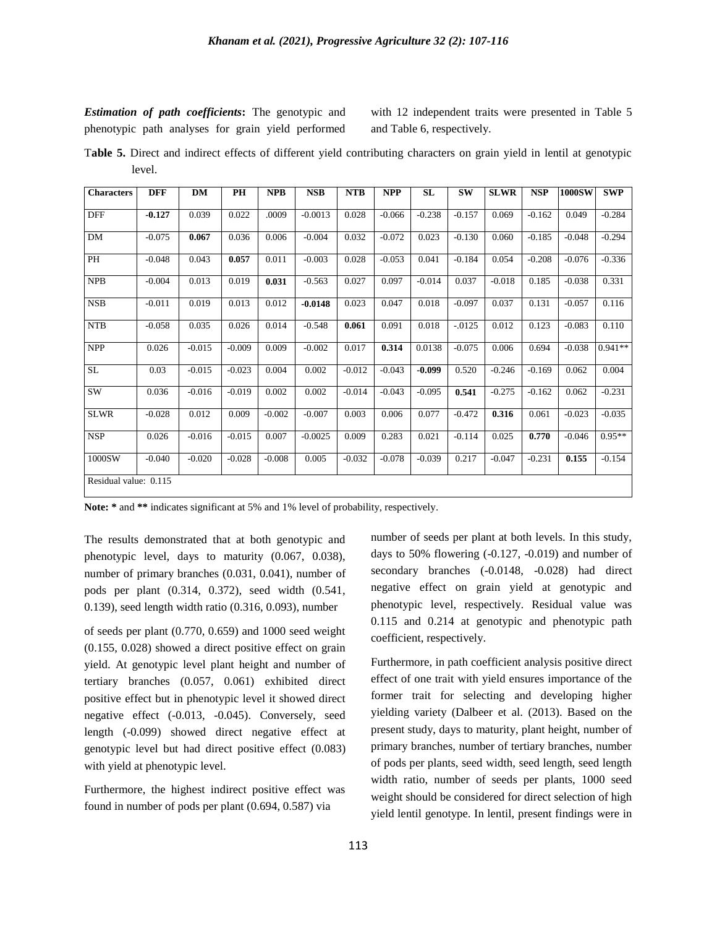*Estimation of path coefficients***:** The genotypic and phenotypic path analyses for grain yield performed

with 12 independent traits were presented in Table 5 and Table 6, respectively.

T**able 5.** Direct and indirect effects of different yield contributing characters on grain yield in lentil at genotypic level.

| <b>Characters</b>     | <b>DFF</b> | <b>DM</b> | PH       | <b>NPB</b> | <b>NSB</b> | <b>NTB</b> | <b>NPP</b> | <b>SL</b> | <b>SW</b> | <b>SLWR</b> | <b>NSP</b> | <b>1000SW</b> | <b>SWP</b> |
|-----------------------|------------|-----------|----------|------------|------------|------------|------------|-----------|-----------|-------------|------------|---------------|------------|
| <b>DFF</b>            | $-0.127$   | 0.039     | 0.022    | .0009      | $-0.0013$  | 0.028      | $-0.066$   | $-0.238$  | $-0.157$  | 0.069       | $-0.162$   | 0.049         | $-0.284$   |
| <b>DM</b>             | $-0.075$   | 0.067     | 0.036    | 0.006      | $-0.004$   | 0.032      | $-0.072$   | 0.023     | $-0.130$  | 0.060       | $-0.185$   | $-0.048$      | $-0.294$   |
| PH                    | $-0.048$   | 0.043     | 0.057    | 0.011      | $-0.003$   | 0.028      | $-0.053$   | 0.041     | $-0.184$  | 0.054       | $-0.208$   | $-0.076$      | $-0.336$   |
| <b>NPB</b>            | $-0.004$   | 0.013     | 0.019    | 0.031      | $-0.563$   | 0.027      | 0.097      | $-0.014$  | 0.037     | $-0.018$    | 0.185      | $-0.038$      | 0.331      |
| <b>NSB</b>            | $-0.011$   | 0.019     | 0.013    | 0.012      | $-0.0148$  | 0.023      | 0.047      | 0.018     | $-0.097$  | 0.037       | 0.131      | $-0.057$      | 0.116      |
| <b>NTB</b>            | $-0.058$   | 0.035     | 0.026    | 0.014      | $-0.548$   | 0.061      | 0.091      | 0.018     | $-0.0125$ | 0.012       | 0.123      | $-0.083$      | 0.110      |
| <b>NPP</b>            | 0.026      | $-0.015$  | $-0.009$ | 0.009      | $-0.002$   | 0.017      | 0.314      | 0.0138    | $-0.075$  | 0.006       | 0.694      | $-0.038$      | $0.941**$  |
| $\operatorname{SL}$   | 0.03       | $-0.015$  | $-0.023$ | 0.004      | 0.002      | $-0.012$   | $-0.043$   | $-0.099$  | 0.520     | $-0.246$    | $-0.169$   | 0.062         | 0.004      |
| <b>SW</b>             | 0.036      | $-0.016$  | $-0.019$ | 0.002      | 0.002      | $-0.014$   | $-0.043$   | $-0.095$  | 0.541     | $-0.275$    | $-0.162$   | 0.062         | $-0.231$   |
| <b>SLWR</b>           | $-0.028$   | 0.012     | 0.009    | $-0.002$   | $-0.007$   | 0.003      | 0.006      | 0.077     | $-0.472$  | 0.316       | 0.061      | $-0.023$      | $-0.035$   |
| <b>NSP</b>            | 0.026      | $-0.016$  | $-0.015$ | 0.007      | $-0.0025$  | 0.009      | 0.283      | 0.021     | $-0.114$  | 0.025       | 0.770      | $-0.046$      | $0.95**$   |
| 1000SW                | $-0.040$   | $-0.020$  | $-0.028$ | $-0.008$   | 0.005      | $-0.032$   | $-0.078$   | $-0.039$  | 0.217     | $-0.047$    | $-0.231$   | 0.155         | $-0.154$   |
| Residual value: 0.115 |            |           |          |            |            |            |            |           |           |             |            |               |            |

**Note: \*** and **\*\*** indicates significant at 5% and 1% level of probability, respectively.

The results demonstrated that at both genotypic and phenotypic level, days to maturity (0.067, 0.038), number of primary branches (0.031, 0.041), number of pods per plant (0.314, 0.372), seed width (0.541, 0.139), seed length width ratio (0.316, 0.093), number

of seeds per plant (0.770, 0.659) and 1000 seed weight (0.155, 0.028) showed a direct positive effect on grain yield. At genotypic level plant height and number of tertiary branches (0.057, 0.061) exhibited direct positive effect but in phenotypic level it showed direct negative effect (-0.013, -0.045). Conversely, seed length (-0.099) showed direct negative effect at genotypic level but had direct positive effect (0.083) with yield at phenotypic level.

Furthermore, the highest indirect positive effect was found in number of pods per plant (0.694, 0.587) via

number of seeds per plant at both levels. In this study, days to 50% flowering (-0.127, -0.019) and number of secondary branches (-0.0148, -0.028) had direct negative effect on grain yield at genotypic and phenotypic level, respectively. Residual value was 0.115 and 0.214 at genotypic and phenotypic path coefficient, respectively.

Furthermore, in path coefficient analysis positive direct effect of one trait with yield ensures importance of the former trait for selecting and developing higher yielding variety (Dalbeer et al. (2013). Based on the present study, days to maturity, plant height, number of primary branches, number of tertiary branches, number of pods per plants, seed width, seed length, seed length width ratio, number of seeds per plants, 1000 seed weight should be considered for direct selection of high yield lentil genotype. In lentil, present findings were in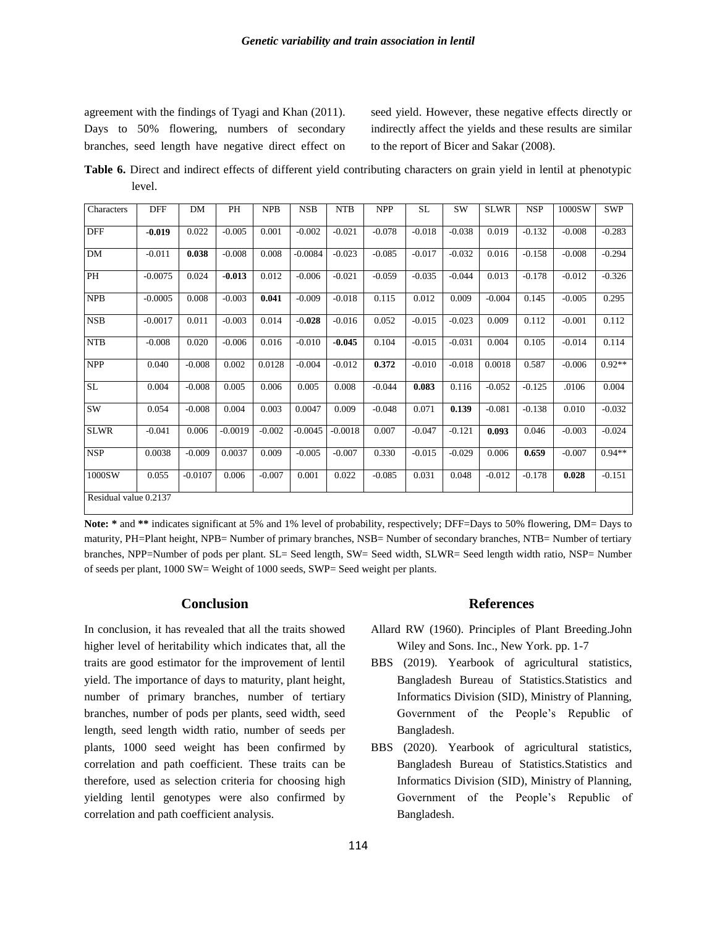agreement with the findings of Tyagi and Khan (2011). Days to 50% flowering, numbers of secondary branches, seed length have negative direct effect on seed yield. However, these negative effects directly or indirectly affect the yields and these results are similar to the report of Bicer and Sakar (2008).

**Table 6.** Direct and indirect effects of different yield contributing characters on grain yield in lentil at phenotypic level.

| Characters            | <b>DFF</b> | DM        | PH        | <b>NPB</b> | <b>NSB</b> | <b>NTB</b> | <b>NPP</b> | SL       | <b>SW</b> | <b>SLWR</b> | <b>NSP</b> | 1000SW   | <b>SWP</b> |
|-----------------------|------------|-----------|-----------|------------|------------|------------|------------|----------|-----------|-------------|------------|----------|------------|
| <b>DFF</b>            | $-0.019$   | 0.022     | $-0.005$  | 0.001      | $-0.002$   | $-0.021$   | $-0.078$   | $-0.018$ | $-0.038$  | 0.019       | $-0.132$   | $-0.008$ | $-0.283$   |
| DM                    | $-0.011$   | 0.038     | $-0.008$  | 0.008      | $-0.0084$  | $-0.023$   | $-0.085$   | $-0.017$ | $-0.032$  | 0.016       | $-0.158$   | $-0.008$ | $-0.294$   |
| PH                    | $-0.0075$  | 0.024     | $-0.013$  | 0.012      | $-0.006$   | $-0.021$   | $-0.059$   | $-0.035$ | $-0.044$  | 0.013       | $-0.178$   | $-0.012$ | $-0.326$   |
| <b>NPB</b>            | $-0.0005$  | 0.008     | $-0.003$  | 0.041      | $-0.009$   | $-0.018$   | 0.115      | 0.012    | 0.009     | $-0.004$    | 0.145      | $-0.005$ | 0.295      |
| <b>NSB</b>            | $-0.0017$  | 0.011     | $-0.003$  | 0.014      | $-0.028$   | $-0.016$   | 0.052      | $-0.015$ | $-0.023$  | 0.009       | 0.112      | $-0.001$ | 0.112      |
| <b>NTB</b>            | $-0.008$   | 0.020     | $-0.006$  | 0.016      | $-0.010$   | $-0.045$   | 0.104      | $-0.015$ | $-0.031$  | 0.004       | 0.105      | $-0.014$ | 0.114      |
| <b>NPP</b>            | 0.040      | $-0.008$  | 0.002     | 0.0128     | $-0.004$   | $-0.012$   | 0.372      | $-0.010$ | $-0.018$  | 0.0018      | 0.587      | $-0.006$ | $0.92**$   |
| <b>SL</b>             | 0.004      | $-0.008$  | 0.005     | 0.006      | 0.005      | 0.008      | $-0.044$   | 0.083    | 0.116     | $-0.052$    | $-0.125$   | .0106    | 0.004      |
| <b>SW</b>             | 0.054      | $-0.008$  | 0.004     | 0.003      | 0.0047     | 0.009      | $-0.048$   | 0.071    | 0.139     | $-0.081$    | $-0.138$   | 0.010    | $-0.032$   |
| <b>SLWR</b>           | $-0.041$   | 0.006     | $-0.0019$ | $-0.002$   | $-0.0045$  | $-0.0018$  | 0.007      | $-0.047$ | $-0.121$  | 0.093       | 0.046      | $-0.003$ | $-0.024$   |
| <b>NSP</b>            | 0.0038     | $-0.009$  | 0.0037    | 0.009      | $-0.005$   | $-0.007$   | 0.330      | $-0.015$ | $-0.029$  | 0.006       | 0.659      | $-0.007$ | $0.94**$   |
| 1000SW                | 0.055      | $-0.0107$ | 0.006     | $-0.007$   | 0.001      | 0.022      | $-0.085$   | 0.031    | 0.048     | $-0.012$    | $-0.178$   | 0.028    | $-0.151$   |
| Residual value 0.2137 |            |           |           |            |            |            |            |          |           |             |            |          |            |

**Note: \*** and **\*\*** indicates significant at 5% and 1% level of probability, respectively; DFF=Days to 50% flowering, DM= Days to maturity, PH=Plant height, NPB= Number of primary branches, NSB= Number of secondary branches, NTB= Number of tertiary branches, NPP=Number of pods per plant. SL= Seed length, SW= Seed width, SLWR= Seed length width ratio, NSP= Number of seeds per plant, 1000 SW= Weight of 1000 seeds, SWP= Seed weight per plants.

#### **Conclusion**

In conclusion, it has revealed that all the traits showed higher level of heritability which indicates that, all the traits are good estimator for the improvement of lentil yield. The importance of days to maturity, plant height, number of primary branches, number of tertiary branches, number of pods per plants, seed width, seed length, seed length width ratio, number of seeds per plants, 1000 seed weight has been confirmed by correlation and path coefficient. These traits can be therefore, used as selection criteria for choosing high yielding lentil genotypes were also confirmed by correlation and path coefficient analysis.

#### **References**

- Allard RW (1960). Principles of Plant Breeding.John Wiley and Sons. Inc., New York. pp. 1-7
- BBS (2019). Yearbook of agricultural statistics, Bangladesh Bureau of Statistics.Statistics and Informatics Division (SID), Ministry of Planning, Government of the People's Republic of Bangladesh.
- BBS (2020). Yearbook of agricultural statistics, Bangladesh Bureau of Statistics.Statistics and Informatics Division (SID), Ministry of Planning, Government of the People's Republic of Bangladesh.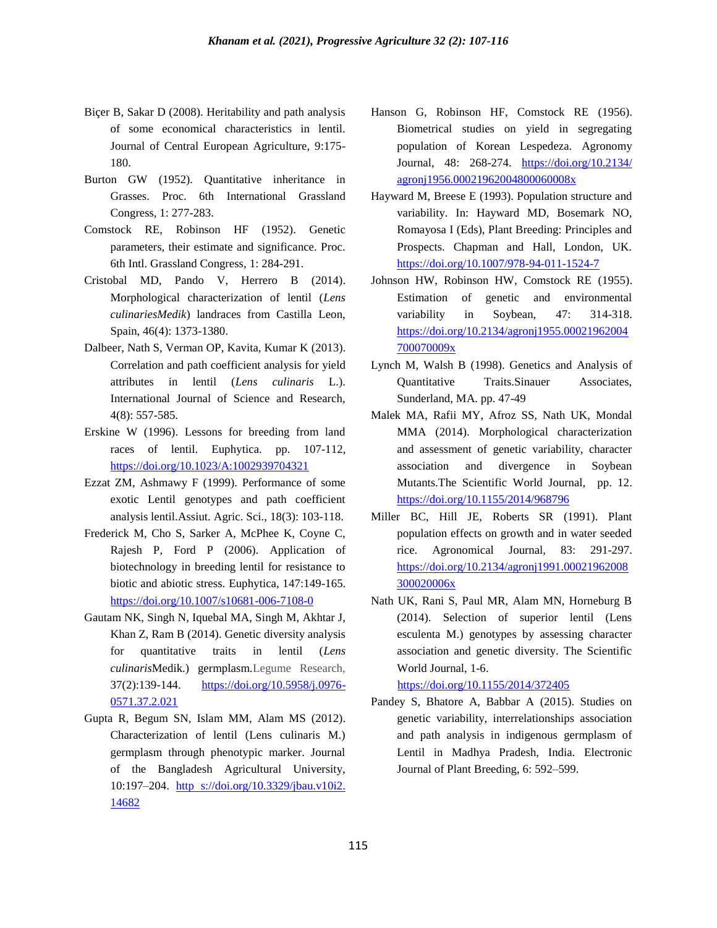- Biçer B, Sakar D (2008). Heritability and path analysis of some economical characteristics in lentil. Journal of Central European Agriculture, 9:175- 180.
- Burton GW (1952). Quantitative inheritance in Grasses. Proc. 6th International Grassland Congress, 1: 277-283.
- Comstock RE, Robinson HF (1952). Genetic parameters, their estimate and significance. Proc. 6th Intl. Grassland Congress, 1: 284-291.
- Cristobal MD, Pando V, Herrero B (2014). Morphological characterization of lentil (*Lens culinariesMedik*) landraces from Castilla Leon, Spain, 46(4): 1373-1380.
- Dalbeer, Nath S, Verman OP, Kavita, Kumar K (2013). Correlation and path coefficient analysis for yield attributes in lentil (*Lens culinaris* L.). International Journal of Science and Research, 4(8): 557-585.
- Erskine W (1996). Lessons for breeding from land races of lentil. Euphytica. pp. 107-112, <https://doi.org/10.1023/A:1002939704321>
- Ezzat ZM, Ashmawy F (1999). Performance of some exotic Lentil genotypes and path coefficient analysis lentil.Assiut. Agric. Sci., 18(3): 103-118.
- Frederick M, Cho S, Sarker A, McPhee K, Coyne C, Rajesh P, Ford P (2006). Application of biotechnology in breeding lentil for resistance to biotic and abiotic stress. Euphytica, 147:149-165. <https://doi.org/10.1007/s10681-006-7108-0>
- Gautam NK, Singh N, Iquebal MA, Singh M, Akhtar J, Khan Z, Ram B (2014). Genetic diversity analysis for quantitative traits in lentil (*Lens culinaris*Medik.) germplasm.Legume Research, 37(2):139-144. [https://doi.org/10.5958/j.0976-](https://doi.org/10.5958/j.0976-0571.37.2.021) [0571.37.2.021](https://doi.org/10.5958/j.0976-0571.37.2.021)
- Gupta R, Begum SN, Islam MM, Alam MS (2012). Characterization of lentil (Lens culinaris M.) germplasm through phenotypic marker. Journal of the Bangladesh Agricultural University, 10:197–204. http [s://doi.org/10.3329/jbau.v10i2.](https://doi.org/10.3329/jbau.v10i2.14682) [14682](https://doi.org/10.3329/jbau.v10i2.14682)
- Hanson G, Robinson HF, Comstock RE (1956). Biometrical studies on yield in segregating population of Korean Lespedeza. Agronomy Journal, 48: 268-274. [https://doi.org/10.2134/](https://doi.org/10.2134/%20agronj1956.00021962004800060008x)  [agronj1956.00021962004800060008x](https://doi.org/10.2134/%20agronj1956.00021962004800060008x)
- Hayward M, Breese E (1993). Population structure and variability. In: Hayward MD, Bosemark NO, Romayosa I (Eds), Plant Breeding: Principles and Prospects. Chapman and Hall, London, UK. <https://doi.org/10.1007/978-94-011-1524-7>
- Johnson HW, Robinson HW, Comstock RE (1955). Estimation of genetic and environmental variability in Soybean, 47: 314-318. [https://doi.org/10.2134/agronj1955.00021962004](https://doi.org/10.2134/agronj1955.00021962004700070009x) [700070009x](https://doi.org/10.2134/agronj1955.00021962004700070009x)
- Lynch M, Walsh B (1998). Genetics and Analysis of Quantitative Traits.Sinauer Associates, Sunderland, MA. pp. 47-49
- Malek MA, Rafii MY, Afroz SS, Nath UK, Mondal MMA (2014). Morphological characterization and assessment of genetic variability, character association and divergence in Soybean Mutants.The Scientific World Journal, pp. 12. <https://doi.org/10.1155/2014/968796>
- Miller BC, Hill JE, Roberts SR (1991). Plant population effects on growth and in water seeded rice. Agronomical Journal, 83: 291-297. [https://doi.org/10.2134/agronj1991.00021962008](https://doi.org/10.2134/agronj1991.00021962008300020006x) [300020006x](https://doi.org/10.2134/agronj1991.00021962008300020006x)
- Nath UK, Rani S, Paul MR, Alam MN, Horneburg B (2014). Selection of superior lentil (Lens esculenta M.) genotypes by assessing character association and genetic diversity. The Scientific World Journal, 1-6.

<https://doi.org/10.1155/2014/372405>

Pandey S, Bhatore A, Babbar A (2015). Studies on genetic variability, interrelationships association and path analysis in indigenous germplasm of Lentil in Madhya Pradesh, India. Electronic Journal of Plant Breeding, 6: 592–599.